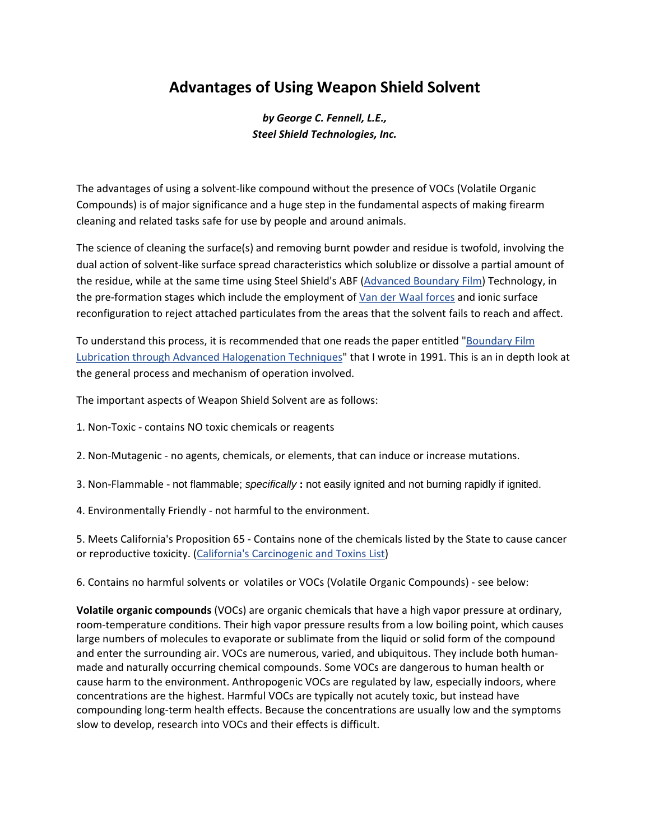## **Advantages of Using Weapon Shield Solvent**

*by George C. Fennell, L.E., Steel Shield Technologies, Inc.*

The advantages of using a solvent‐like compound without the presence of VOCs (Volatile Organic Compounds) is of major significance and a huge step in the fundamental aspects of making firearm cleaning and related tasks safe for use by people and around animals.

The science of cleaning the surface(s) and removing burnt powder and residue is twofold, involving the dual action of solvent‐like surface spread characteristics which solublize or dissolve a partial amount of the residue, while at the same time using Steel Shield's ABF [\(Advanced](http://www.steelshieldtech.com/mainpage/popup.html) Boundary Film) Technology, in the pre-formation stages which include the employment of Van der Waal [forces](http://en.wikipedia.org/wiki/Van_der_Waals_force) and ionic surface reconfiguration to reject attached particulates from the areas that the solvent fails to reach and affect.

To understand this process, it is recommended that one reads the paper entitled ["Boundary](http://steelshieldtech.com/mainpage/images/stories/pdfs/Boundary_Film_Lubrication.pdf) Film Lubrication through Advanced [Halogenation](http://steelshieldtech.com/mainpage/images/stories/pdfs/Boundary_Film_Lubrication.pdf) Techniques" that I wrote in 1991. This is an in depth look at the general process and mechanism of operation involved.

The important aspects of Weapon Shield Solvent are as follows:

- 1. Non‐Toxic ‐ contains NO toxic chemicals or reagents
- 2. Non‐Mutagenic ‐ no agents, chemicals, or elements, that can induce or increase mutations.
- 3. Non‐Flammable ‐ not flammable; *specifically* **:** not easily ignited and not burning rapidly if ignited.
- 4. Environmentally Friendly ‐ not harmful to the environment.

5. Meets California's Proposition 65 ‐ Contains none of the chemicals listed by the State to cause cancer or reproductive toxicity. (California's [Carcinogenic](http://www.oehha.ca.gov/prop65/prop65_list/files/P65single010413.pdf) and Toxins List)

6. Contains no harmful solvents or volatiles or VOCs (Volatile Organic Compounds) ‐ see below:

**Volatile organic compounds** (VOCs) are organic chemicals that have a high vapor pressure at ordinary, room-temperature conditions. Their high vapor pressure results from a low boiling point, which causes large numbers of molecules to evaporate or sublimate from the liquid or solid form of the compound and enter the surrounding air. VOCs are numerous, varied, and ubiquitous. They include both human‐ made and naturally occurring chemical compounds. Some VOCs are dangerous to human health or cause harm to the environment. Anthropogenic VOCs are regulated by law, especially indoors, where concentrations are the highest. Harmful VOCs are typically not acutely toxic, but instead have compounding long‐term health effects. Because the concentrations are usually low and the symptoms slow to develop, research into VOCs and their effects is difficult.